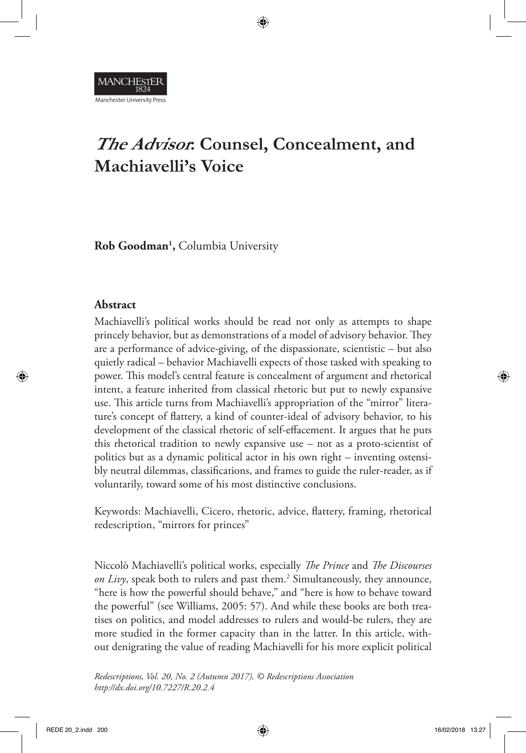

# **The Advisor: Counsel, Concealment, and Machiavelli's Voice**

**Rob Goodman1 ,** Columbia University

# **Abstract**

Machiavelli's political works should be read not only as attempts to shape princely behavior, but as demonstrations of a model of advisory behavior. They are a performance of advice-giving, of the dispassionate, scientistic – but also quietly radical – behavior Machiavelli expects of those tasked with speaking to power. This model's central feature is concealment of argument and rhetorical intent, a feature inherited from classical rhetoric but put to newly expansive use. This article turns from Machiavelli's appropriation of the "mirror" literature's concept of flattery, a kind of counter-ideal of advisory behavior, to his development of the classical rhetoric of self-effacement. It argues that he puts this rhetorical tradition to newly expansive use – not as a proto-scientist of politics but as a dynamic political actor in his own right – inventing ostensibly neutral dilemmas, classifications, and frames to guide the ruler-reader, as if voluntarily, toward some of his most distinctive conclusions.

Keywords: Machiavelli, Cicero, rhetoric, advice, flattery, framing, rhetorical redescription, "mirrors for princes"

Niccolò Machiavelli's political works, especially *The Prince* and *The Discourses*  on Livy, speak both to rulers and past them.<sup>2</sup> Simultaneously, they announce, "here is how the powerful should behave," and "here is how to behave toward the powerful" (see Williams, 2005: 57). And while these books are both treatises on politics, and model addresses to rulers and would-be rulers, they are more studied in the former capacity than in the latter. In this article, without denigrating the value of reading Machiavelli for his more explicit political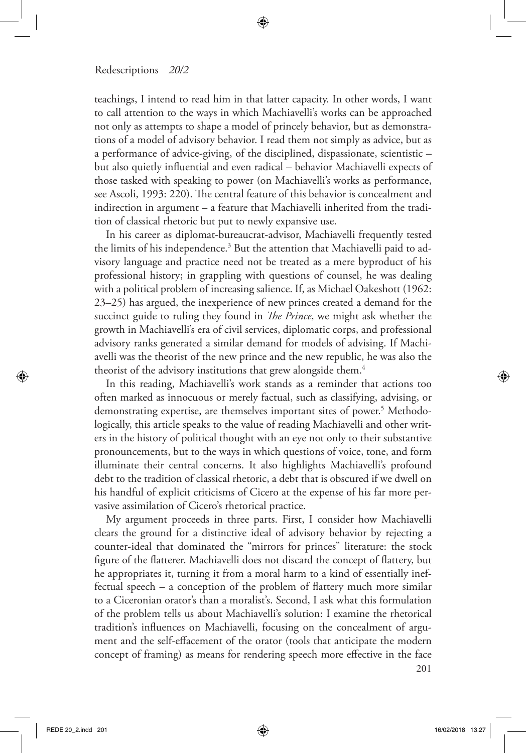teachings, I intend to read him in that latter capacity. In other words, I want to call attention to the ways in which Machiavelli's works can be approached not only as attempts to shape a model of princely behavior, but as demonstrations of a model of advisory behavior. I read them not simply as advice, but as a performance of advice-giving, of the disciplined, dispassionate, scientistic – but also quietly influential and even radical – behavior Machiavelli expects of those tasked with speaking to power (on Machiavelli's works as performance, see Ascoli, 1993: 220). The central feature of this behavior is concealment and indirection in argument – a feature that Machiavelli inherited from the tradition of classical rhetoric but put to newly expansive use.

In his career as diplomat-bureaucrat-advisor, Machiavelli frequently tested the limits of his independence.<sup>3</sup> But the attention that Machiavelli paid to advisory language and practice need not be treated as a mere byproduct of his professional history; in grappling with questions of counsel, he was dealing with a political problem of increasing salience. If, as Michael Oakeshott (1962: 23–25) has argued, the inexperience of new princes created a demand for the succinct guide to ruling they found in *The Prince*, we might ask whether the growth in Machiavelli's era of civil services, diplomatic corps, and professional advisory ranks generated a similar demand for models of advising. If Machiavelli was the theorist of the new prince and the new republic, he was also the theorist of the advisory institutions that grew alongside them.<sup>4</sup>

In this reading, Machiavelli's work stands as a reminder that actions too often marked as innocuous or merely factual, such as classifying, advising, or demonstrating expertise, are themselves important sites of power.<sup>5</sup> Methodologically, this article speaks to the value of reading Machiavelli and other writers in the history of political thought with an eye not only to their substantive pronouncements, but to the ways in which questions of voice, tone, and form illuminate their central concerns. It also highlights Machiavelli's profound debt to the tradition of classical rhetoric, a debt that is obscured if we dwell on his handful of explicit criticisms of Cicero at the expense of his far more pervasive assimilation of Cicero's rhetorical practice.

My argument proceeds in three parts. First, I consider how Machiavelli clears the ground for a distinctive ideal of advisory behavior by rejecting a counter-ideal that dominated the "mirrors for princes" literature: the stock figure of the flatterer. Machiavelli does not discard the concept of flattery, but he appropriates it, turning it from a moral harm to a kind of essentially ineffectual speech – a conception of the problem of flattery much more similar to a Ciceronian orator's than a moralist's. Second, I ask what this formulation of the problem tells us about Machiavelli's solution: I examine the rhetorical tradition's influences on Machiavelli, focusing on the concealment of argument and the self-effacement of the orator (tools that anticipate the modern concept of framing) as means for rendering speech more effective in the face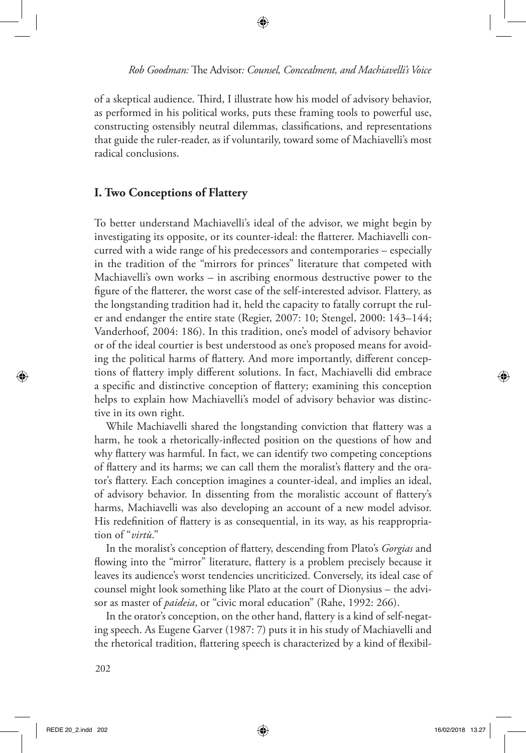of a skeptical audience. Third, I illustrate how his model of advisory behavior, as performed in his political works, puts these framing tools to powerful use, constructing ostensibly neutral dilemmas, classifications, and representations that guide the ruler-reader, as if voluntarily, toward some of Machiavelli's most radical conclusions.

## **I. Two Conceptions of Flattery**

To better understand Machiavelli's ideal of the advisor, we might begin by investigating its opposite, or its counter-ideal: the flatterer. Machiavelli concurred with a wide range of his predecessors and contemporaries – especially in the tradition of the "mirrors for princes" literature that competed with Machiavelli's own works – in ascribing enormous destructive power to the figure of the flatterer, the worst case of the self-interested advisor. Flattery, as the longstanding tradition had it, held the capacity to fatally corrupt the ruler and endanger the entire state (Regier, 2007: 10; Stengel, 2000: 143–144; Vanderhoof, 2004: 186). In this tradition, one's model of advisory behavior or of the ideal courtier is best understood as one's proposed means for avoiding the political harms of flattery. And more importantly, different conceptions of flattery imply different solutions. In fact, Machiavelli did embrace a specific and distinctive conception of flattery; examining this conception helps to explain how Machiavelli's model of advisory behavior was distinctive in its own right.

While Machiavelli shared the longstanding conviction that flattery was a harm, he took a rhetorically-inflected position on the questions of how and why flattery was harmful. In fact, we can identify two competing conceptions of flattery and its harms; we can call them the moralist's flattery and the orator's flattery. Each conception imagines a counter-ideal, and implies an ideal, of advisory behavior. In dissenting from the moralistic account of flattery's harms, Machiavelli was also developing an account of a new model advisor. His redefinition of flattery is as consequential, in its way, as his reappropriation of "*virtù*."

In the moralist's conception of flattery, descending from Plato's *Gorgias* and flowing into the "mirror" literature, flattery is a problem precisely because it leaves its audience's worst tendencies uncriticized. Conversely, its ideal case of counsel might look something like Plato at the court of Dionysius – the advisor as master of *paideia*, or "civic moral education" (Rahe, 1992: 266).

In the orator's conception, on the other hand, flattery is a kind of self-negating speech. As Eugene Garver (1987: 7) puts it in his study of Machiavelli and the rhetorical tradition, flattering speech is characterized by a kind of flexibil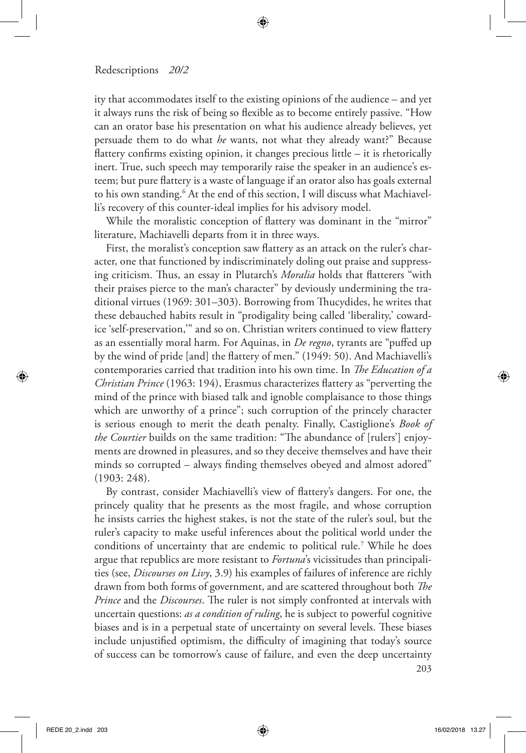ity that accommodates itself to the existing opinions of the audience – and yet it always runs the risk of being so flexible as to become entirely passive. "How can an orator base his presentation on what his audience already believes, yet persuade them to do what *he* wants, not what they already want?" Because flattery confirms existing opinion, it changes precious little – it is rhetorically inert. True, such speech may temporarily raise the speaker in an audience's esteem; but pure flattery is a waste of language if an orator also has goals external to his own standing.6 At the end of this section, I will discuss what Machiavelli's recovery of this counter-ideal implies for his advisory model.

While the moralistic conception of flattery was dominant in the "mirror" literature, Machiavelli departs from it in three ways.

First, the moralist's conception saw flattery as an attack on the ruler's character, one that functioned by indiscriminately doling out praise and suppressing criticism. Thus, an essay in Plutarch's *Moralia* holds that flatterers "with their praises pierce to the man's character" by deviously undermining the traditional virtues (1969: 301–303). Borrowing from Thucydides, he writes that these debauched habits result in "prodigality being called 'liberality,' cowardice 'self-preservation,'" and so on. Christian writers continued to view flattery as an essentially moral harm. For Aquinas, in *De regno*, tyrants are "puffed up by the wind of pride [and] the flattery of men." (1949: 50). And Machiavelli's contemporaries carried that tradition into his own time. In *The Education of a Christian Prince* (1963: 194), Erasmus characterizes flattery as "perverting the mind of the prince with biased talk and ignoble complaisance to those things which are unworthy of a prince"; such corruption of the princely character is serious enough to merit the death penalty. Finally, Castiglione's *Book of the Courtier* builds on the same tradition: "The abundance of [rulers'] enjoyments are drowned in pleasures, and so they deceive themselves and have their minds so corrupted – always finding themselves obeyed and almost adored" (1903: 248).

By contrast, consider Machiavelli's view of flattery's dangers. For one, the princely quality that he presents as the most fragile, and whose corruption he insists carries the highest stakes, is not the state of the ruler's soul, but the ruler's capacity to make useful inferences about the political world under the conditions of uncertainty that are endemic to political rule.7 While he does argue that republics are more resistant to *Fortuna*'s vicissitudes than principalities (see, *Discourses on Livy*, 3.9) his examples of failures of inference are richly drawn from both forms of government, and are scattered throughout both *The Prince* and the *Discourses*. The ruler is not simply confronted at intervals with uncertain questions: *as a condition of ruling*, he is subject to powerful cognitive biases and is in a perpetual state of uncertainty on several levels. These biases include unjustified optimism, the difficulty of imagining that today's source of success can be tomorrow's cause of failure, and even the deep uncertainty

203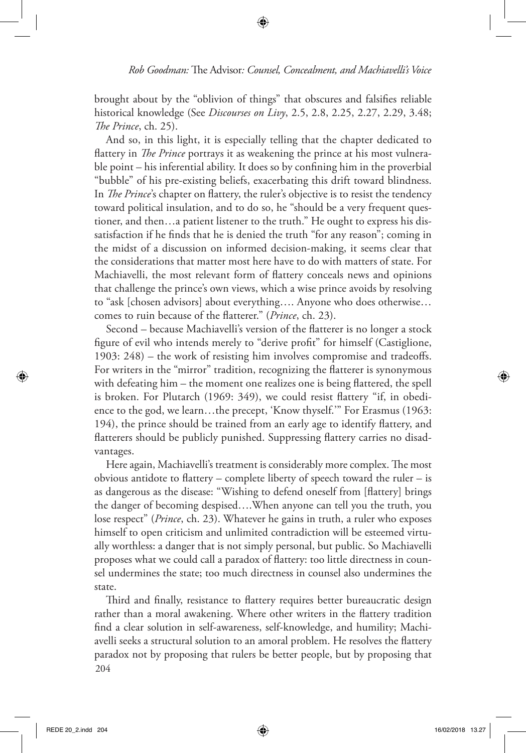brought about by the "oblivion of things" that obscures and falsifies reliable historical knowledge (See *Discourses on Livy*, 2.5, 2.8, 2.25, 2.27, 2.29, 3.48; *The Prince*, ch. 25).

And so, in this light, it is especially telling that the chapter dedicated to flattery in *The Prince* portrays it as weakening the prince at his most vulnerable point – his inferential ability. It does so by confining him in the proverbial "bubble" of his pre-existing beliefs, exacerbating this drift toward blindness. In *The Prince*'s chapter on flattery, the ruler's objective is to resist the tendency toward political insulation, and to do so, he "should be a very frequent questioner, and then…a patient listener to the truth." He ought to express his dissatisfaction if he finds that he is denied the truth "for any reason"; coming in the midst of a discussion on informed decision-making, it seems clear that the considerations that matter most here have to do with matters of state. For Machiavelli, the most relevant form of flattery conceals news and opinions that challenge the prince's own views, which a wise prince avoids by resolving to "ask [chosen advisors] about everything…. Anyone who does otherwise… comes to ruin because of the flatterer." (*Prince*, ch. 23).

Second – because Machiavelli's version of the flatterer is no longer a stock figure of evil who intends merely to "derive profit" for himself (Castiglione, 1903: 248) – the work of resisting him involves compromise and tradeoffs. For writers in the "mirror" tradition, recognizing the flatterer is synonymous with defeating him – the moment one realizes one is being flattered, the spell is broken. For Plutarch (1969: 349), we could resist flattery "if, in obedience to the god, we learn…the precept, 'Know thyself.'" For Erasmus (1963: 194), the prince should be trained from an early age to identify flattery, and flatterers should be publicly punished. Suppressing flattery carries no disadvantages.

Here again, Machiavelli's treatment is considerably more complex. The most obvious antidote to flattery – complete liberty of speech toward the ruler – is as dangerous as the disease: "Wishing to defend oneself from [flattery] brings the danger of becoming despised….When anyone can tell you the truth, you lose respect" (*Prince*, ch. 23). Whatever he gains in truth, a ruler who exposes himself to open criticism and unlimited contradiction will be esteemed virtually worthless: a danger that is not simply personal, but public. So Machiavelli proposes what we could call a paradox of flattery: too little directness in counsel undermines the state; too much directness in counsel also undermines the state.

204 Third and finally, resistance to flattery requires better bureaucratic design rather than a moral awakening. Where other writers in the flattery tradition find a clear solution in self-awareness, self-knowledge, and humility; Machiavelli seeks a structural solution to an amoral problem. He resolves the flattery paradox not by proposing that rulers be better people, but by proposing that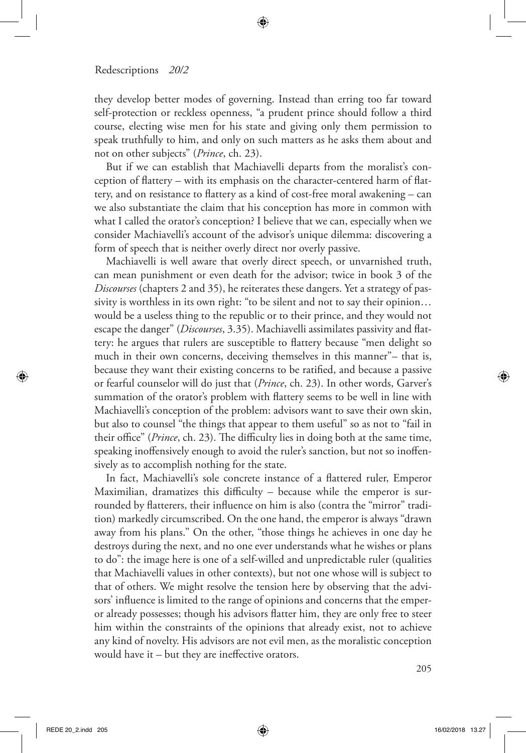they develop better modes of governing. Instead than erring too far toward self-protection or reckless openness, "a prudent prince should follow a third course, electing wise men for his state and giving only them permission to speak truthfully to him, and only on such matters as he asks them about and not on other subjects" (*Prince*, ch. 23).

But if we can establish that Machiavelli departs from the moralist's conception of flattery – with its emphasis on the character-centered harm of flattery, and on resistance to flattery as a kind of cost-free moral awakening – can we also substantiate the claim that his conception has more in common with what I called the orator's conception? I believe that we can, especially when we consider Machiavelli's account of the advisor's unique dilemma: discovering a form of speech that is neither overly direct nor overly passive.

Machiavelli is well aware that overly direct speech, or unvarnished truth, can mean punishment or even death for the advisor; twice in book 3 of the *Discourses* (chapters 2 and 35), he reiterates these dangers. Yet a strategy of passivity is worthless in its own right: "to be silent and not to say their opinion… would be a useless thing to the republic or to their prince, and they would not escape the danger" (*Discourses*, 3.35). Machiavelli assimilates passivity and flattery: he argues that rulers are susceptible to flattery because "men delight so much in their own concerns, deceiving themselves in this manner"– that is, because they want their existing concerns to be ratified, and because a passive or fearful counselor will do just that (*Prince*, ch. 23). In other words, Garver's summation of the orator's problem with flattery seems to be well in line with Machiavelli's conception of the problem: advisors want to save their own skin, but also to counsel "the things that appear to them useful" so as not to "fail in their office" (*Prince*, ch. 23). The difficulty lies in doing both at the same time, speaking inoffensively enough to avoid the ruler's sanction, but not so inoffensively as to accomplish nothing for the state.

In fact, Machiavelli's sole concrete instance of a flattered ruler, Emperor Maximilian, dramatizes this difficulty – because while the emperor is surrounded by flatterers, their influence on him is also (contra the "mirror" tradition) markedly circumscribed. On the one hand, the emperor is always "drawn away from his plans." On the other, "those things he achieves in one day he destroys during the next, and no one ever understands what he wishes or plans to do": the image here is one of a self-willed and unpredictable ruler (qualities that Machiavelli values in other contexts), but not one whose will is subject to that of others. We might resolve the tension here by observing that the advisors' influence is limited to the range of opinions and concerns that the emperor already possesses; though his advisors flatter him, they are only free to steer him within the constraints of the opinions that already exist, not to achieve any kind of novelty. His advisors are not evil men, as the moralistic conception would have it – but they are ineffective orators.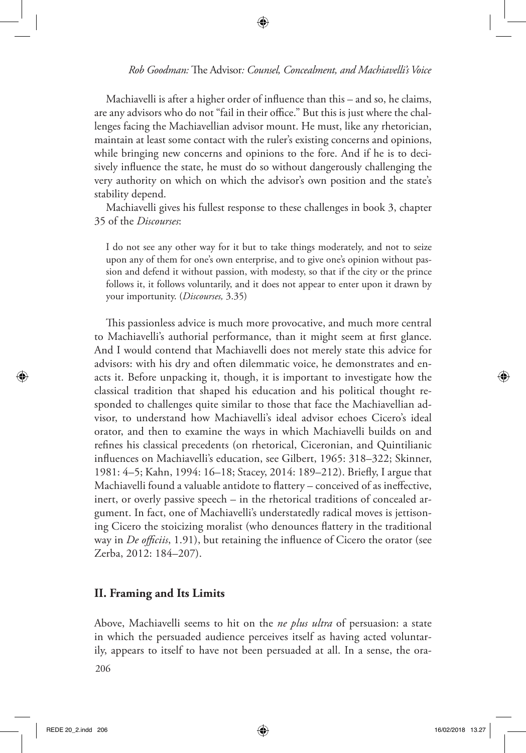Machiavelli is after a higher order of influence than this – and so, he claims, are any advisors who do not "fail in their office." But this is just where the challenges facing the Machiavellian advisor mount. He must, like any rhetorician, maintain at least some contact with the ruler's existing concerns and opinions, while bringing new concerns and opinions to the fore. And if he is to decisively influence the state, he must do so without dangerously challenging the very authority on which on which the advisor's own position and the state's stability depend.

Machiavelli gives his fullest response to these challenges in book 3, chapter 35 of the *Discourses*:

I do not see any other way for it but to take things moderately, and not to seize upon any of them for one's own enterprise, and to give one's opinion without passion and defend it without passion, with modesty, so that if the city or the prince follows it, it follows voluntarily, and it does not appear to enter upon it drawn by your importunity. (*Discourses,* 3.35)

This passionless advice is much more provocative, and much more central to Machiavelli's authorial performance, than it might seem at first glance. And I would contend that Machiavelli does not merely state this advice for advisors: with his dry and often dilemmatic voice, he demonstrates and enacts it. Before unpacking it, though, it is important to investigate how the classical tradition that shaped his education and his political thought responded to challenges quite similar to those that face the Machiavellian advisor, to understand how Machiavelli's ideal advisor echoes Cicero's ideal orator, and then to examine the ways in which Machiavelli builds on and refines his classical precedents (on rhetorical, Ciceronian, and Quintilianic influences on Machiavelli's education, see Gilbert, 1965: 318–322; Skinner, 1981: 4–5; Kahn, 1994: 16–18; Stacey, 2014: 189–212). Briefly, I argue that Machiavelli found a valuable antidote to flattery – conceived of as ineffective, inert, or overly passive speech – in the rhetorical traditions of concealed argument. In fact, one of Machiavelli's understatedly radical moves is jettisoning Cicero the stoicizing moralist (who denounces flattery in the traditional way in *De officiis*, 1.91), but retaining the influence of Cicero the orator (see Zerba, 2012: 184–207).

## **II. Framing and Its Limits**

206 Above, Machiavelli seems to hit on the *ne plus ultra* of persuasion: a state in which the persuaded audience perceives itself as having acted voluntarily, appears to itself to have not been persuaded at all. In a sense, the ora-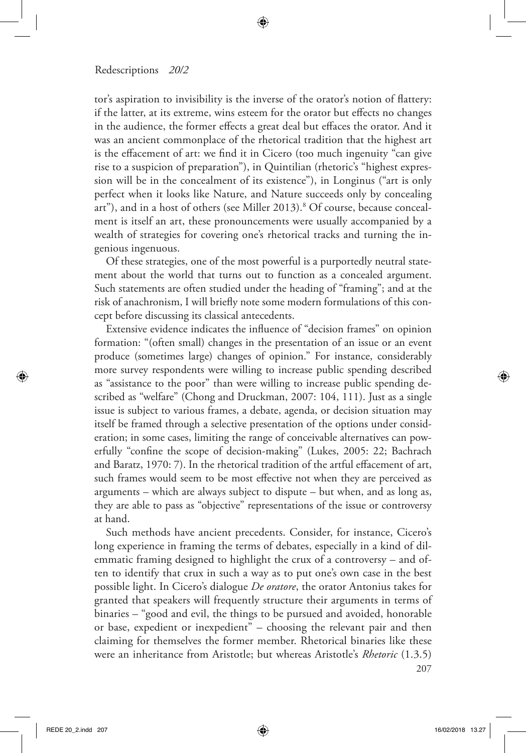tor's aspiration to invisibility is the inverse of the orator's notion of flattery: if the latter, at its extreme, wins esteem for the orator but effects no changes in the audience, the former effects a great deal but effaces the orator. And it was an ancient commonplace of the rhetorical tradition that the highest art is the effacement of art: we find it in Cicero (too much ingenuity "can give rise to a suspicion of preparation"), in Quintilian (rhetoric's "highest expression will be in the concealment of its existence"), in Longinus ("art is only perfect when it looks like Nature, and Nature succeeds only by concealing art"), and in a host of others (see Miller 2013).<sup>8</sup> Of course, because concealment is itself an art, these pronouncements were usually accompanied by a wealth of strategies for covering one's rhetorical tracks and turning the ingenious ingenuous.

Of these strategies, one of the most powerful is a purportedly neutral statement about the world that turns out to function as a concealed argument. Such statements are often studied under the heading of "framing"; and at the risk of anachronism, I will briefly note some modern formulations of this concept before discussing its classical antecedents.

Extensive evidence indicates the influence of "decision frames" on opinion formation: "(often small) changes in the presentation of an issue or an event produce (sometimes large) changes of opinion." For instance, considerably more survey respondents were willing to increase public spending described as "assistance to the poor" than were willing to increase public spending described as "welfare" (Chong and Druckman, 2007: 104, 111). Just as a single issue is subject to various frames, a debate, agenda, or decision situation may itself be framed through a selective presentation of the options under consideration; in some cases, limiting the range of conceivable alternatives can powerfully "confine the scope of decision-making" (Lukes, 2005: 22; Bachrach and Baratz, 1970: 7). In the rhetorical tradition of the artful effacement of art, such frames would seem to be most effective not when they are perceived as arguments – which are always subject to dispute – but when, and as long as, they are able to pass as "objective" representations of the issue or controversy at hand.

Such methods have ancient precedents. Consider, for instance, Cicero's long experience in framing the terms of debates, especially in a kind of dilemmatic framing designed to highlight the crux of a controversy – and often to identify that crux in such a way as to put one's own case in the best possible light. In Cicero's dialogue *De oratore*, the orator Antonius takes for granted that speakers will frequently structure their arguments in terms of binaries – "good and evil, the things to be pursued and avoided, honorable or base, expedient or inexpedient" – choosing the relevant pair and then claiming for themselves the former member. Rhetorical binaries like these were an inheritance from Aristotle; but whereas Aristotle's *Rhetoric* (1.3.5)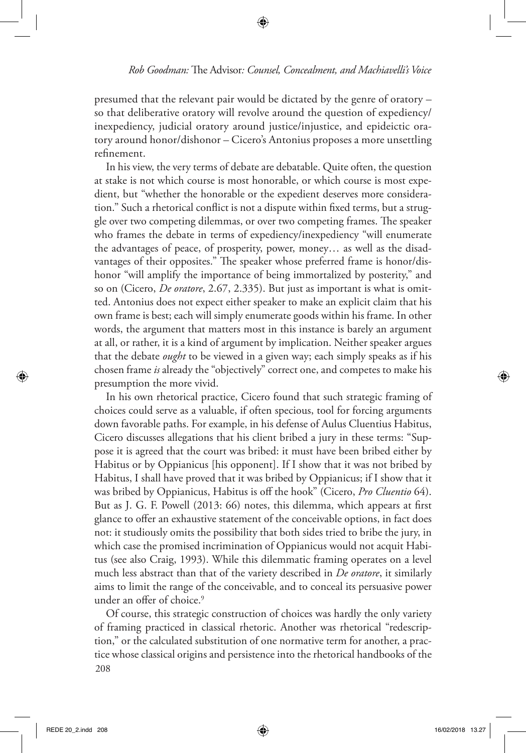presumed that the relevant pair would be dictated by the genre of oratory – so that deliberative oratory will revolve around the question of expediency/ inexpediency, judicial oratory around justice/injustice, and epideictic oratory around honor/dishonor – Cicero's Antonius proposes a more unsettling refinement.

In his view, the very terms of debate are debatable. Quite often, the question at stake is not which course is most honorable, or which course is most expedient, but "whether the honorable or the expedient deserves more consideration." Such a rhetorical conflict is not a dispute within fixed terms, but a struggle over two competing dilemmas, or over two competing frames. The speaker who frames the debate in terms of expediency/inexpediency "will enumerate the advantages of peace, of prosperity, power, money… as well as the disadvantages of their opposites." The speaker whose preferred frame is honor/dishonor "will amplify the importance of being immortalized by posterity," and so on (Cicero, *De oratore*, 2.67, 2.335). But just as important is what is omitted. Antonius does not expect either speaker to make an explicit claim that his own frame is best; each will simply enumerate goods within his frame. In other words, the argument that matters most in this instance is barely an argument at all, or rather, it is a kind of argument by implication. Neither speaker argues that the debate *ought* to be viewed in a given way; each simply speaks as if his chosen frame *is* already the "objectively" correct one, and competes to make his presumption the more vivid.

In his own rhetorical practice, Cicero found that such strategic framing of choices could serve as a valuable, if often specious, tool for forcing arguments down favorable paths. For example, in his defense of Aulus Cluentius Habitus, Cicero discusses allegations that his client bribed a jury in these terms: "Suppose it is agreed that the court was bribed: it must have been bribed either by Habitus or by Oppianicus [his opponent]. If I show that it was not bribed by Habitus, I shall have proved that it was bribed by Oppianicus; if I show that it was bribed by Oppianicus, Habitus is off the hook" (Cicero, *Pro Cluentio* 64). But as J. G. F. Powell (2013: 66) notes, this dilemma, which appears at first glance to offer an exhaustive statement of the conceivable options, in fact does not: it studiously omits the possibility that both sides tried to bribe the jury, in which case the promised incrimination of Oppianicus would not acquit Habitus (see also Craig, 1993). While this dilemmatic framing operates on a level much less abstract than that of the variety described in *De oratore*, it similarly aims to limit the range of the conceivable, and to conceal its persuasive power under an offer of choice.<sup>9</sup>

208 Of course, this strategic construction of choices was hardly the only variety of framing practiced in classical rhetoric. Another was rhetorical "redescription," or the calculated substitution of one normative term for another, a practice whose classical origins and persistence into the rhetorical handbooks of the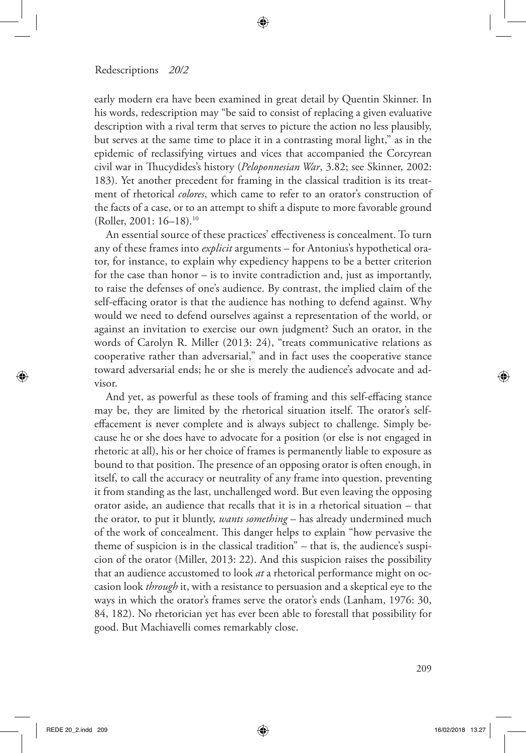early modern era have been examined in great detail by Quentin Skinner. In his words, redescription may "be said to consist of replacing a given evaluative description with a rival term that serves to picture the action no less plausibly, but serves at the same time to place it in a contrasting moral light," as in the epidemic of reclassifying virtues and vices that accompanied the Corcyrean civil war in Thucydides's history (*Peloponnesian War*, 3.82; see Skinner, 2002: 183). Yet another precedent for framing in the classical tradition is its treatment of rhetorical *colores*, which came to refer to an orator's construction of the facts of a case, or to an attempt to shift a dispute to more favorable ground (Roller, 2001: 16–18).10

An essential source of these practices' effectiveness is concealment. To turn any of these frames into *explicit* arguments – for Antonius's hypothetical orator, for instance, to explain why expediency happens to be a better criterion for the case than honor – is to invite contradiction and, just as importantly, to raise the defenses of one's audience. By contrast, the implied claim of the self-effacing orator is that the audience has nothing to defend against. Why would we need to defend ourselves against a representation of the world, or against an invitation to exercise our own judgment? Such an orator, in the words of Carolyn R. Miller (2013: 24), "treats communicative relations as cooperative rather than adversarial," and in fact uses the cooperative stance toward adversarial ends; he or she is merely the audience's advocate and advisor.

And yet, as powerful as these tools of framing and this self-effacing stance may be, they are limited by the rhetorical situation itself. The orator's selfeffacement is never complete and is always subject to challenge. Simply because he or she does have to advocate for a position (or else is not engaged in rhetoric at all), his or her choice of frames is permanently liable to exposure as bound to that position. The presence of an opposing orator is often enough, in itself, to call the accuracy or neutrality of any frame into question, preventing it from standing as the last, unchallenged word. But even leaving the opposing orator aside, an audience that recalls that it is in a rhetorical situation – that the orator, to put it bluntly, *wants something* – has already undermined much of the work of concealment. This danger helps to explain "how pervasive the theme of suspicion is in the classical tradition" – that is, the audience's suspicion of the orator (Miller, 2013: 22). And this suspicion raises the possibility that an audience accustomed to look *at* a rhetorical performance might on occasion look *through* it, with a resistance to persuasion and a skeptical eye to the ways in which the orator's frames serve the orator's ends (Lanham, 1976: 30, 84, 182). No rhetorician yet has ever been able to forestall that possibility for good. But Machiavelli comes remarkably close.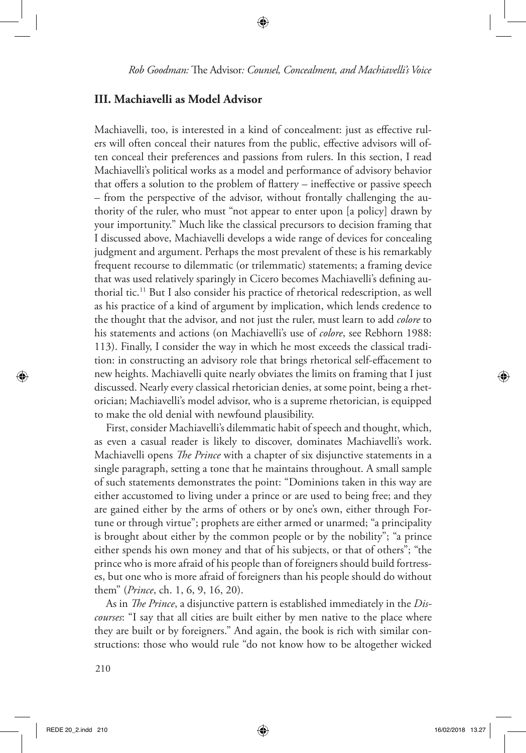#### **III. Machiavelli as Model Advisor**

Machiavelli, too, is interested in a kind of concealment: just as effective rulers will often conceal their natures from the public, effective advisors will often conceal their preferences and passions from rulers. In this section, I read Machiavelli's political works as a model and performance of advisory behavior that offers a solution to the problem of flattery – ineffective or passive speech – from the perspective of the advisor, without frontally challenging the authority of the ruler, who must "not appear to enter upon [a policy] drawn by your importunity." Much like the classical precursors to decision framing that I discussed above, Machiavelli develops a wide range of devices for concealing judgment and argument. Perhaps the most prevalent of these is his remarkably frequent recourse to dilemmatic (or trilemmatic) statements; a framing device that was used relatively sparingly in Cicero becomes Machiavelli's defining authorial tic.11 But I also consider his practice of rhetorical redescription, as well as his practice of a kind of argument by implication, which lends credence to the thought that the advisor, and not just the ruler, must learn to add *colore* to his statements and actions (on Machiavelli's use of *colore*, see Rebhorn 1988: 113). Finally, I consider the way in which he most exceeds the classical tradition: in constructing an advisory role that brings rhetorical self-effacement to new heights. Machiavelli quite nearly obviates the limits on framing that I just discussed. Nearly every classical rhetorician denies, at some point, being a rhetorician; Machiavelli's model advisor, who is a supreme rhetorician, is equipped to make the old denial with newfound plausibility.

First, consider Machiavelli's dilemmatic habit of speech and thought, which, as even a casual reader is likely to discover, dominates Machiavelli's work. Machiavelli opens *The Prince* with a chapter of six disjunctive statements in a single paragraph, setting a tone that he maintains throughout. A small sample of such statements demonstrates the point: "Dominions taken in this way are either accustomed to living under a prince or are used to being free; and they are gained either by the arms of others or by one's own, either through Fortune or through virtue"; prophets are either armed or unarmed; "a principality is brought about either by the common people or by the nobility"; "a prince either spends his own money and that of his subjects, or that of others"; "the prince who is more afraid of his people than of foreigners should build fortresses, but one who is more afraid of foreigners than his people should do without them" (*Prince*, ch. 1, 6, 9, 16, 20).

As in *The Prince*, a disjunctive pattern is established immediately in the *Discourses*: "I say that all cities are built either by men native to the place where they are built or by foreigners." And again, the book is rich with similar constructions: those who would rule "do not know how to be altogether wicked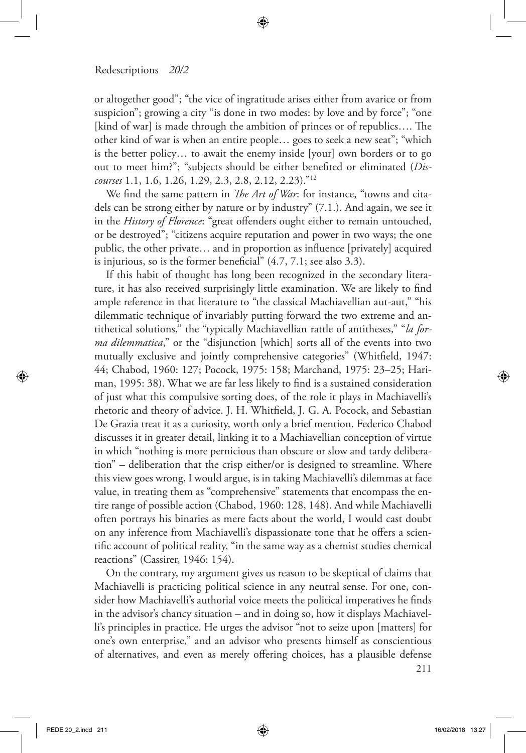or altogether good"; "the vice of ingratitude arises either from avarice or from suspicion"; growing a city "is done in two modes: by love and by force"; "one [kind of war] is made through the ambition of princes or of republics…. The other kind of war is when an entire people… goes to seek a new seat"; "which is the better policy… to await the enemy inside [your] own borders or to go out to meet him?"; "subjects should be either benefited or eliminated (*Discourses* 1.1, 1.6, 1.26, 1.29, 2.3, 2.8, 2.12, 2.23)."12

We find the same pattern in *The Art of War*: for instance, "towns and citadels can be strong either by nature or by industry" (7.1.). And again, we see it in the *History of Florence*: "great offenders ought either to remain untouched, or be destroyed"; "citizens acquire reputation and power in two ways; the one public, the other private… and in proportion as influence [privately] acquired is injurious, so is the former beneficial" (4.7, 7.1; see also 3.3).

If this habit of thought has long been recognized in the secondary literature, it has also received surprisingly little examination. We are likely to find ample reference in that literature to "the classical Machiavellian aut-aut," "his dilemmatic technique of invariably putting forward the two extreme and antithetical solutions," the "typically Machiavellian rattle of antitheses," "*la forma dilemmatica*," or the "disjunction [which] sorts all of the events into two mutually exclusive and jointly comprehensive categories" (Whitfield, 1947: 44; Chabod, 1960: 127; Pocock, 1975: 158; Marchand, 1975: 23–25; Hariman, 1995: 38). What we are far less likely to find is a sustained consideration of just what this compulsive sorting does, of the role it plays in Machiavelli's rhetoric and theory of advice. J. H. Whitfield, J. G. A. Pocock, and Sebastian De Grazia treat it as a curiosity, worth only a brief mention. Federico Chabod discusses it in greater detail, linking it to a Machiavellian conception of virtue in which "nothing is more pernicious than obscure or slow and tardy deliberation" – deliberation that the crisp either/or is designed to streamline. Where this view goes wrong, I would argue, is in taking Machiavelli's dilemmas at face value, in treating them as "comprehensive" statements that encompass the entire range of possible action (Chabod, 1960: 128, 148). And while Machiavelli often portrays his binaries as mere facts about the world, I would cast doubt on any inference from Machiavelli's dispassionate tone that he offers a scientific account of political reality, "in the same way as a chemist studies chemical reactions" (Cassirer, 1946: 154).

On the contrary, my argument gives us reason to be skeptical of claims that Machiavelli is practicing political science in any neutral sense. For one, consider how Machiavelli's authorial voice meets the political imperatives he finds in the advisor's chancy situation – and in doing so, how it displays Machiavelli's principles in practice. He urges the advisor "not to seize upon [matters] for one's own enterprise," and an advisor who presents himself as conscientious of alternatives, and even as merely offering choices, has a plausible defense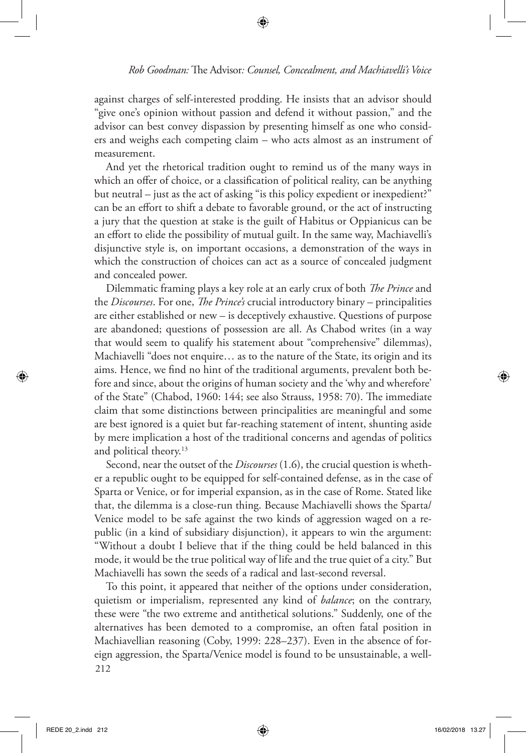against charges of self-interested prodding. He insists that an advisor should "give one's opinion without passion and defend it without passion," and the advisor can best convey dispassion by presenting himself as one who considers and weighs each competing claim – who acts almost as an instrument of measurement.

And yet the rhetorical tradition ought to remind us of the many ways in which an offer of choice, or a classification of political reality, can be anything but neutral – just as the act of asking "is this policy expedient or inexpedient?" can be an effort to shift a debate to favorable ground, or the act of instructing a jury that the question at stake is the guilt of Habitus or Oppianicus can be an effort to elide the possibility of mutual guilt. In the same way, Machiavelli's disjunctive style is, on important occasions, a demonstration of the ways in which the construction of choices can act as a source of concealed judgment and concealed power.

Dilemmatic framing plays a key role at an early crux of both *The Prince* and the *Discourses*. For one, *The Prince's* crucial introductory binary – principalities are either established or new – is deceptively exhaustive. Questions of purpose are abandoned; questions of possession are all. As Chabod writes (in a way that would seem to qualify his statement about "comprehensive" dilemmas), Machiavelli "does not enquire… as to the nature of the State, its origin and its aims. Hence, we find no hint of the traditional arguments, prevalent both before and since, about the origins of human society and the 'why and wherefore' of the State" (Chabod, 1960: 144; see also Strauss, 1958: 70). The immediate claim that some distinctions between principalities are meaningful and some are best ignored is a quiet but far-reaching statement of intent, shunting aside by mere implication a host of the traditional concerns and agendas of politics and political theory.<sup>13</sup>

Second, near the outset of the *Discourses* (1.6), the crucial question is whether a republic ought to be equipped for self-contained defense, as in the case of Sparta or Venice, or for imperial expansion, as in the case of Rome. Stated like that, the dilemma is a close-run thing. Because Machiavelli shows the Sparta/ Venice model to be safe against the two kinds of aggression waged on a republic (in a kind of subsidiary disjunction), it appears to win the argument: "Without a doubt I believe that if the thing could be held balanced in this mode, it would be the true political way of life and the true quiet of a city." But Machiavelli has sown the seeds of a radical and last-second reversal.

212 To this point, it appeared that neither of the options under consideration, quietism or imperialism, represented any kind of *balance*; on the contrary, these were "the two extreme and antithetical solutions." Suddenly, one of the alternatives has been demoted to a compromise, an often fatal position in Machiavellian reasoning (Coby, 1999: 228–237). Even in the absence of foreign aggression, the Sparta/Venice model is found to be unsustainable, a well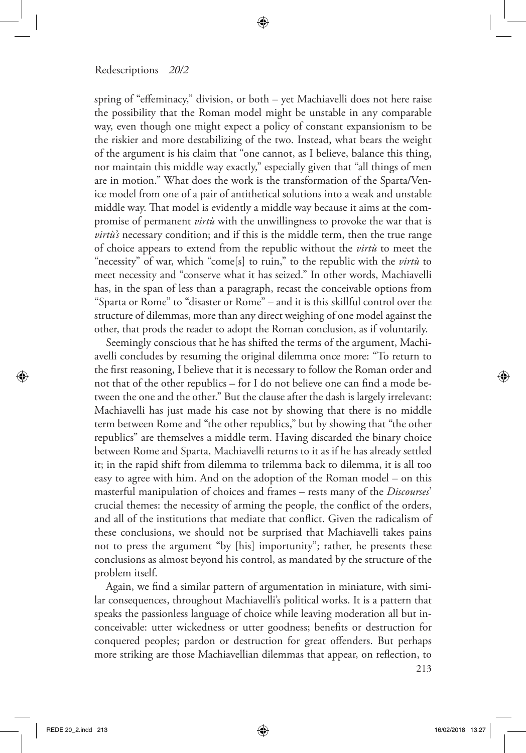spring of "effeminacy," division, or both – yet Machiavelli does not here raise the possibility that the Roman model might be unstable in any comparable way, even though one might expect a policy of constant expansionism to be the riskier and more destabilizing of the two. Instead, what bears the weight of the argument is his claim that "one cannot, as I believe, balance this thing, nor maintain this middle way exactly," especially given that "all things of men are in motion." What does the work is the transformation of the Sparta/Venice model from one of a pair of antithetical solutions into a weak and unstable middle way. That model is evidently a middle way because it aims at the compromise of permanent *virtù* with the unwillingness to provoke the war that is *virtù's* necessary condition; and if this is the middle term, then the true range of choice appears to extend from the republic without the *virtù* to meet the "necessity" of war, which "come[s] to ruin," to the republic with the *virtù* to meet necessity and "conserve what it has seized." In other words, Machiavelli has, in the span of less than a paragraph, recast the conceivable options from "Sparta or Rome" to "disaster or Rome" – and it is this skillful control over the structure of dilemmas, more than any direct weighing of one model against the other, that prods the reader to adopt the Roman conclusion, as if voluntarily.

Seemingly conscious that he has shifted the terms of the argument, Machiavelli concludes by resuming the original dilemma once more: "To return to the first reasoning, I believe that it is necessary to follow the Roman order and not that of the other republics – for I do not believe one can find a mode between the one and the other." But the clause after the dash is largely irrelevant: Machiavelli has just made his case not by showing that there is no middle term between Rome and "the other republics," but by showing that "the other republics" are themselves a middle term. Having discarded the binary choice between Rome and Sparta, Machiavelli returns to it as if he has already settled it; in the rapid shift from dilemma to trilemma back to dilemma, it is all too easy to agree with him. And on the adoption of the Roman model – on this masterful manipulation of choices and frames – rests many of the *Discourses*' crucial themes: the necessity of arming the people, the conflict of the orders, and all of the institutions that mediate that conflict. Given the radicalism of these conclusions, we should not be surprised that Machiavelli takes pains not to press the argument "by [his] importunity"; rather, he presents these conclusions as almost beyond his control, as mandated by the structure of the problem itself.

Again, we find a similar pattern of argumentation in miniature, with similar consequences, throughout Machiavelli's political works. It is a pattern that speaks the passionless language of choice while leaving moderation all but inconceivable: utter wickedness or utter goodness; benefits or destruction for conquered peoples; pardon or destruction for great offenders. But perhaps more striking are those Machiavellian dilemmas that appear, on reflection, to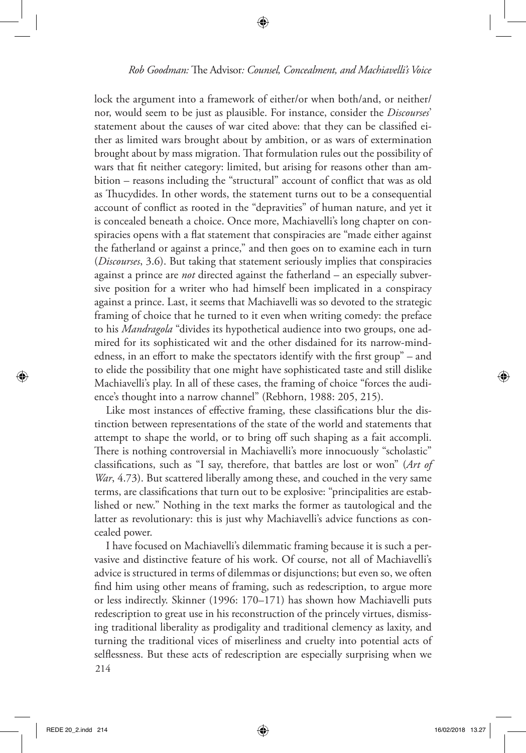lock the argument into a framework of either/or when both/and, or neither/ nor, would seem to be just as plausible. For instance, consider the *Discourses*' statement about the causes of war cited above: that they can be classified either as limited wars brought about by ambition, or as wars of extermination brought about by mass migration. That formulation rules out the possibility of wars that fit neither category: limited, but arising for reasons other than ambition – reasons including the "structural" account of conflict that was as old as Thucydides. In other words, the statement turns out to be a consequential account of conflict as rooted in the "depravities" of human nature, and yet it is concealed beneath a choice. Once more, Machiavelli's long chapter on conspiracies opens with a flat statement that conspiracies are "made either against the fatherland or against a prince," and then goes on to examine each in turn (*Discourses*, 3.6). But taking that statement seriously implies that conspiracies against a prince are *not* directed against the fatherland – an especially subversive position for a writer who had himself been implicated in a conspiracy against a prince. Last, it seems that Machiavelli was so devoted to the strategic framing of choice that he turned to it even when writing comedy: the preface to his *Mandragola* "divides its hypothetical audience into two groups, one admired for its sophisticated wit and the other disdained for its narrow-mindedness, in an effort to make the spectators identify with the first group" – and to elide the possibility that one might have sophisticated taste and still dislike Machiavelli's play. In all of these cases, the framing of choice "forces the audience's thought into a narrow channel" (Rebhorn, 1988: 205, 215).

Like most instances of effective framing, these classifications blur the distinction between representations of the state of the world and statements that attempt to shape the world, or to bring off such shaping as a fait accompli. There is nothing controversial in Machiavelli's more innocuously "scholastic" classifications, such as "I say, therefore, that battles are lost or won" (*Art of War*, 4.73). But scattered liberally among these, and couched in the very same terms, are classifications that turn out to be explosive: "principalities are established or new." Nothing in the text marks the former as tautological and the latter as revolutionary: this is just why Machiavelli's advice functions as concealed power.

214 I have focused on Machiavelli's dilemmatic framing because it is such a pervasive and distinctive feature of his work. Of course, not all of Machiavelli's advice is structured in terms of dilemmas or disjunctions; but even so, we often find him using other means of framing, such as redescription, to argue more or less indirectly. Skinner (1996: 170–171) has shown how Machiavelli puts redescription to great use in his reconstruction of the princely virtues, dismissing traditional liberality as prodigality and traditional clemency as laxity, and turning the traditional vices of miserliness and cruelty into potential acts of selflessness. But these acts of redescription are especially surprising when we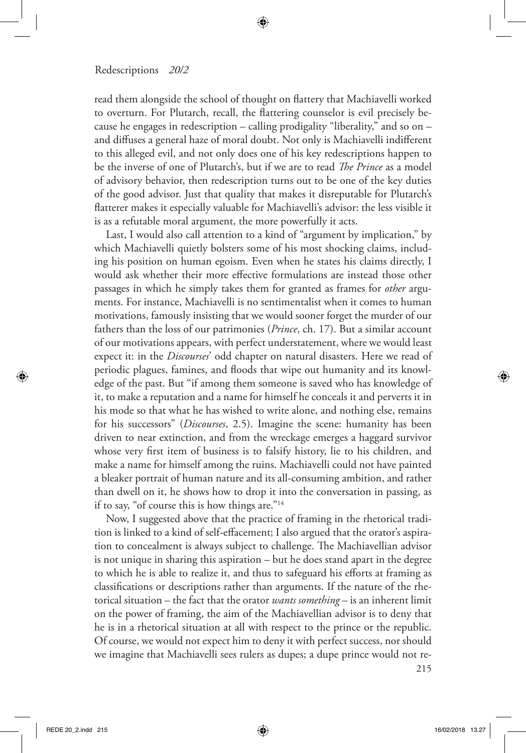read them alongside the school of thought on flattery that Machiavelli worked to overturn. For Plutarch, recall, the flattering counselor is evil precisely because he engages in redescription – calling prodigality "liberality," and so on – and diffuses a general haze of moral doubt. Not only is Machiavelli indifferent to this alleged evil, and not only does one of his key redescriptions happen to be the inverse of one of Plutarch's, but if we are to read *The Prince* as a model of advisory behavior, then redescription turns out to be one of the key duties of the good advisor. Just that quality that makes it disreputable for Plutarch's flatterer makes it especially valuable for Machiavelli's advisor: the less visible it is as a refutable moral argument, the more powerfully it acts.

Last, I would also call attention to a kind of "argument by implication," by which Machiavelli quietly bolsters some of his most shocking claims, including his position on human egoism. Even when he states his claims directly, I would ask whether their more effective formulations are instead those other passages in which he simply takes them for granted as frames for *other* arguments. For instance, Machiavelli is no sentimentalist when it comes to human motivations, famously insisting that we would sooner forget the murder of our fathers than the loss of our patrimonies (*Prince*, ch. 17). But a similar account of our motivations appears, with perfect understatement, where we would least expect it: in the *Discourses*' odd chapter on natural disasters. Here we read of periodic plagues, famines, and floods that wipe out humanity and its knowledge of the past. But "if among them someone is saved who has knowledge of it, to make a reputation and a name for himself he conceals it and perverts it in his mode so that what he has wished to write alone, and nothing else, remains for his successors" (*Discourses*, 2.5). Imagine the scene: humanity has been driven to near extinction, and from the wreckage emerges a haggard survivor whose very first item of business is to falsify history, lie to his children, and make a name for himself among the ruins. Machiavelli could not have painted a bleaker portrait of human nature and its all-consuming ambition, and rather than dwell on it, he shows how to drop it into the conversation in passing, as if to say, "of course this is how things are."14

Now, I suggested above that the practice of framing in the rhetorical tradition is linked to a kind of self-effacement; I also argued that the orator's aspiration to concealment is always subject to challenge. The Machiavellian advisor is not unique in sharing this aspiration – but he does stand apart in the degree to which he is able to realize it, and thus to safeguard his efforts at framing as classifications or descriptions rather than arguments. If the nature of the rhetorical situation – the fact that the orator *wants something* – is an inherent limit on the power of framing, the aim of the Machiavellian advisor is to deny that he is in a rhetorical situation at all with respect to the prince or the republic. Of course, we would not expect him to deny it with perfect success, nor should we imagine that Machiavelli sees rulers as dupes; a dupe prince would not re-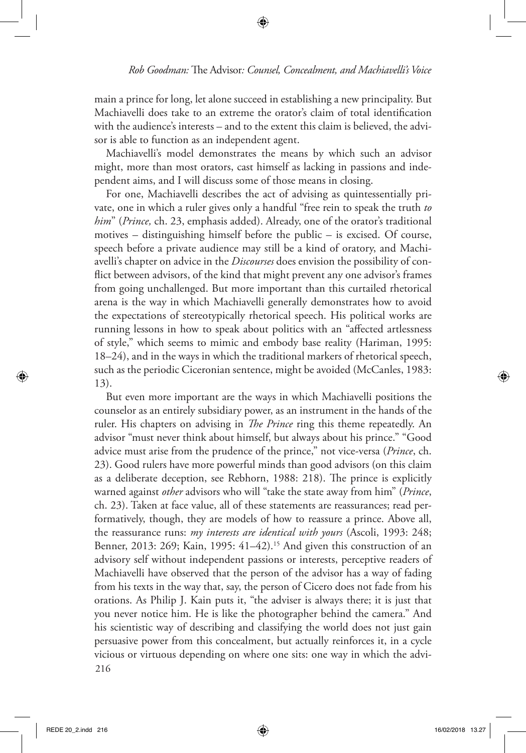main a prince for long, let alone succeed in establishing a new principality. But Machiavelli does take to an extreme the orator's claim of total identification with the audience's interests – and to the extent this claim is believed, the advisor is able to function as an independent agent.

Machiavelli's model demonstrates the means by which such an advisor might, more than most orators, cast himself as lacking in passions and independent aims, and I will discuss some of those means in closing.

For one, Machiavelli describes the act of advising as quintessentially private, one in which a ruler gives only a handful "free rein to speak the truth *to him*" (*Prince,* ch. 23, emphasis added). Already, one of the orator's traditional motives – distinguishing himself before the public – is excised. Of course, speech before a private audience may still be a kind of oratory, and Machiavelli's chapter on advice in the *Discourses* does envision the possibility of conflict between advisors, of the kind that might prevent any one advisor's frames from going unchallenged. But more important than this curtailed rhetorical arena is the way in which Machiavelli generally demonstrates how to avoid the expectations of stereotypically rhetorical speech. His political works are running lessons in how to speak about politics with an "affected artlessness of style," which seems to mimic and embody base reality (Hariman, 1995: 18–24), and in the ways in which the traditional markers of rhetorical speech, such as the periodic Ciceronian sentence, might be avoided (McCanles, 1983: 13).

216 But even more important are the ways in which Machiavelli positions the counselor as an entirely subsidiary power, as an instrument in the hands of the ruler. His chapters on advising in *The Prince* ring this theme repeatedly. An advisor "must never think about himself, but always about his prince." "Good advice must arise from the prudence of the prince," not vice-versa (*Prince*, ch. 23). Good rulers have more powerful minds than good advisors (on this claim as a deliberate deception, see Rebhorn, 1988: 218). The prince is explicitly warned against *other* advisors who will "take the state away from him" (*Prince*, ch. 23). Taken at face value, all of these statements are reassurances; read performatively, though, they are models of how to reassure a prince. Above all, the reassurance runs: *my interests are identical with yours* (Ascoli, 1993: 248; Benner, 2013: 269; Kain, 1995: 41–42).<sup>15</sup> And given this construction of an advisory self without independent passions or interests, perceptive readers of Machiavelli have observed that the person of the advisor has a way of fading from his texts in the way that, say, the person of Cicero does not fade from his orations. As Philip J. Kain puts it, "the adviser is always there; it is just that you never notice him. He is like the photographer behind the camera." And his scientistic way of describing and classifying the world does not just gain persuasive power from this concealment, but actually reinforces it, in a cycle vicious or virtuous depending on where one sits: one way in which the advi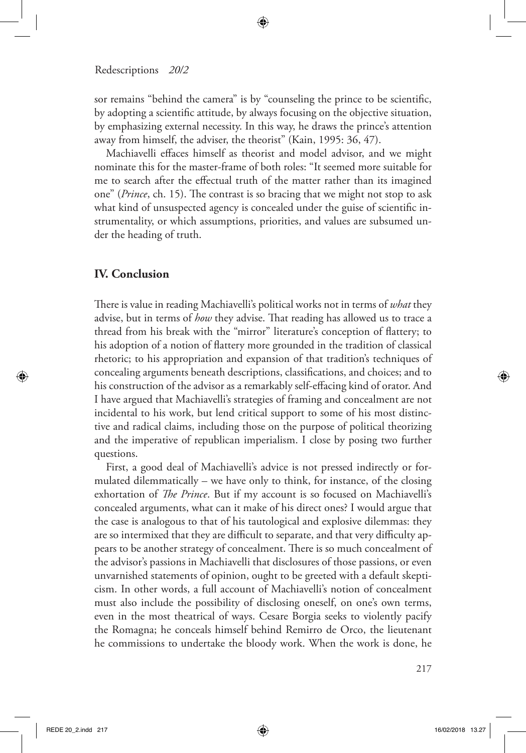sor remains "behind the camera" is by "counseling the prince to be scientific, by adopting a scientific attitude, by always focusing on the objective situation, by emphasizing external necessity. In this way, he draws the prince's attention away from himself, the adviser, the theorist" (Kain, 1995: 36, 47).

Machiavelli effaces himself as theorist and model advisor, and we might nominate this for the master-frame of both roles: "It seemed more suitable for me to search after the effectual truth of the matter rather than its imagined one" (*Prince*, ch. 15). The contrast is so bracing that we might not stop to ask what kind of unsuspected agency is concealed under the guise of scientific instrumentality, or which assumptions, priorities, and values are subsumed under the heading of truth.

## **IV. Conclusion**

There is value in reading Machiavelli's political works not in terms of *what* they advise, but in terms of *how* they advise. That reading has allowed us to trace a thread from his break with the "mirror" literature's conception of flattery; to his adoption of a notion of flattery more grounded in the tradition of classical rhetoric; to his appropriation and expansion of that tradition's techniques of concealing arguments beneath descriptions, classifications, and choices; and to his construction of the advisor as a remarkably self-effacing kind of orator. And I have argued that Machiavelli's strategies of framing and concealment are not incidental to his work, but lend critical support to some of his most distinctive and radical claims, including those on the purpose of political theorizing and the imperative of republican imperialism. I close by posing two further questions.

First, a good deal of Machiavelli's advice is not pressed indirectly or formulated dilemmatically – we have only to think, for instance, of the closing exhortation of *The Prince*. But if my account is so focused on Machiavelli's concealed arguments, what can it make of his direct ones? I would argue that the case is analogous to that of his tautological and explosive dilemmas: they are so intermixed that they are difficult to separate, and that very difficulty appears to be another strategy of concealment. There is so much concealment of the advisor's passions in Machiavelli that disclosures of those passions, or even unvarnished statements of opinion, ought to be greeted with a default skepticism. In other words, a full account of Machiavelli's notion of concealment must also include the possibility of disclosing oneself, on one's own terms, even in the most theatrical of ways. Cesare Borgia seeks to violently pacify the Romagna; he conceals himself behind Remirro de Orco, the lieutenant he commissions to undertake the bloody work. When the work is done, he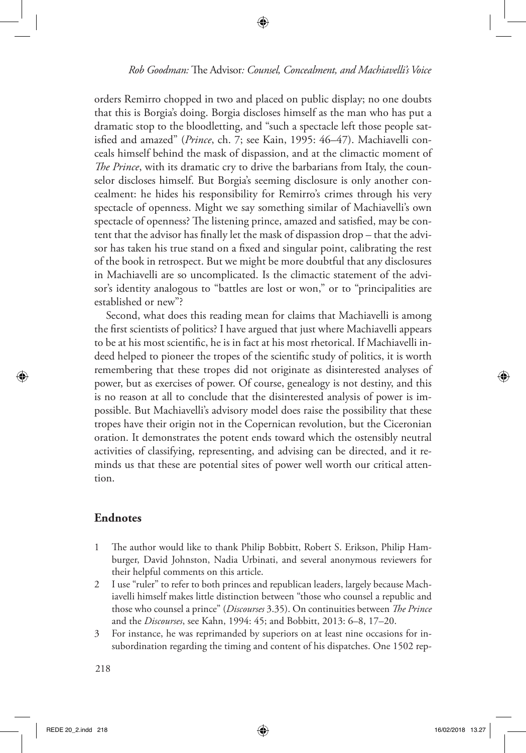orders Remirro chopped in two and placed on public display; no one doubts that this is Borgia's doing. Borgia discloses himself as the man who has put a dramatic stop to the bloodletting, and "such a spectacle left those people satisfied and amazed" (*Prince*, ch. 7; see Kain, 1995: 46–47). Machiavelli conceals himself behind the mask of dispassion, and at the climactic moment of *The Prince*, with its dramatic cry to drive the barbarians from Italy, the counselor discloses himself. But Borgia's seeming disclosure is only another concealment: he hides his responsibility for Remirro's crimes through his very spectacle of openness. Might we say something similar of Machiavelli's own spectacle of openness? The listening prince, amazed and satisfied, may be content that the advisor has finally let the mask of dispassion drop – that the advisor has taken his true stand on a fixed and singular point, calibrating the rest of the book in retrospect. But we might be more doubtful that any disclosures in Machiavelli are so uncomplicated. Is the climactic statement of the advisor's identity analogous to "battles are lost or won," or to "principalities are established or new"?

Second, what does this reading mean for claims that Machiavelli is among the first scientists of politics? I have argued that just where Machiavelli appears to be at his most scientific, he is in fact at his most rhetorical. If Machiavelli indeed helped to pioneer the tropes of the scientific study of politics, it is worth remembering that these tropes did not originate as disinterested analyses of power, but as exercises of power. Of course, genealogy is not destiny, and this is no reason at all to conclude that the disinterested analysis of power is impossible. But Machiavelli's advisory model does raise the possibility that these tropes have their origin not in the Copernican revolution, but the Ciceronian oration. It demonstrates the potent ends toward which the ostensibly neutral activities of classifying, representing, and advising can be directed, and it reminds us that these are potential sites of power well worth our critical attention.

## **Endnotes**

- 1 The author would like to thank Philip Bobbitt, Robert S. Erikson, Philip Hamburger, David Johnston, Nadia Urbinati, and several anonymous reviewers for their helpful comments on this article.
- 2 I use "ruler" to refer to both princes and republican leaders, largely because Machiavelli himself makes little distinction between "those who counsel a republic and those who counsel a prince" (*Discourses* 3.35). On continuities between *The Prince* and the *Discourses*, see Kahn, 1994: 45; and Bobbitt, 2013: 6–8, 17–20.
- 3 For instance, he was reprimanded by superiors on at least nine occasions for insubordination regarding the timing and content of his dispatches. One 1502 rep-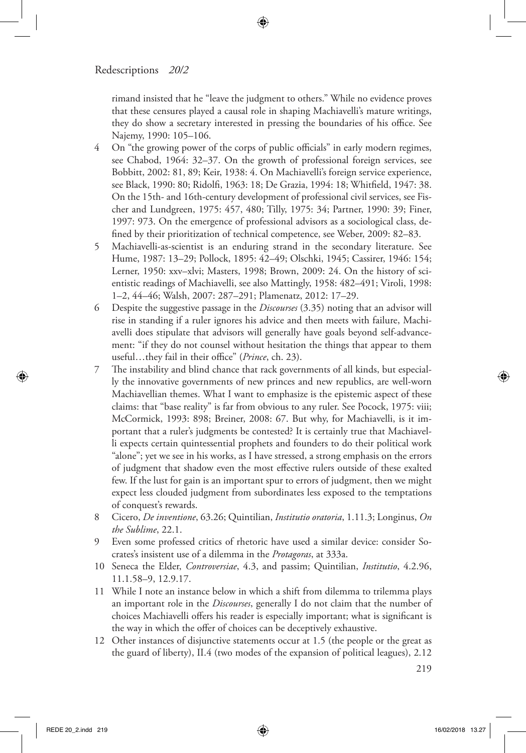rimand insisted that he "leave the judgment to others." While no evidence proves that these censures played a causal role in shaping Machiavelli's mature writings, they do show a secretary interested in pressing the boundaries of his office. See Najemy, 1990: 105–106.

- 4 On "the growing power of the corps of public officials" in early modern regimes, see Chabod, 1964: 32–37. On the growth of professional foreign services, see Bobbitt, 2002: 81, 89; Keir, 1938: 4. On Machiavelli's foreign service experience, see Black, 1990: 80; Ridolfi, 1963: 18; De Grazia, 1994: 18; Whitfield, 1947: 38. On the 15th- and 16th-century development of professional civil services, see Fischer and Lundgreen, 1975: 457, 480; Tilly, 1975: 34; Partner, 1990: 39; Finer, 1997: 973. On the emergence of professional advisors as a sociological class, defined by their prioritization of technical competence, see Weber, 2009: 82–83.
- 5 Machiavelli-as-scientist is an enduring strand in the secondary literature. See Hume, 1987: 13–29; Pollock, 1895: 42–49; Olschki, 1945; Cassirer, 1946: 154; Lerner, 1950: xxv–xlvi; Masters, 1998; Brown, 2009: 24. On the history of scientistic readings of Machiavelli, see also Mattingly, 1958: 482–491; Viroli, 1998: 1–2, 44–46; Walsh, 2007: 287–291; Plamenatz, 2012: 17–29.
- 6 Despite the suggestive passage in the *Discourses* (3.35) noting that an advisor will rise in standing if a ruler ignores his advice and then meets with failure, Machiavelli does stipulate that advisors will generally have goals beyond self-advancement: "if they do not counsel without hesitation the things that appear to them useful…they fail in their office" (*Prince*, ch. 23).
- 7 The instability and blind chance that rack governments of all kinds, but especially the innovative governments of new princes and new republics, are well-worn Machiavellian themes. What I want to emphasize is the epistemic aspect of these claims: that "base reality" is far from obvious to any ruler. See Pocock, 1975: viii; McCormick, 1993: 898; Breiner, 2008: 67. But why, for Machiavelli, is it important that a ruler's judgments be contested? It is certainly true that Machiavelli expects certain quintessential prophets and founders to do their political work "alone"; yet we see in his works, as I have stressed, a strong emphasis on the errors of judgment that shadow even the most effective rulers outside of these exalted few. If the lust for gain is an important spur to errors of judgment, then we might expect less clouded judgment from subordinates less exposed to the temptations of conquest's rewards.
- 8 Cicero, *De inventione*, 63.26; Quintilian, *Institutio oratoria*, 1.11.3; Longinus, *On the Sublime*, 22.1.
- 9 Even some professed critics of rhetoric have used a similar device: consider Socrates's insistent use of a dilemma in the *Protagoras*, at 333a.
- 10 Seneca the Elder, *Controversiae*, 4.3, and passim; Quintilian, *Institutio*, 4.2.96, 11.1.58–9, 12.9.17.
- 11 While I note an instance below in which a shift from dilemma to trilemma plays an important role in the *Discourses*, generally I do not claim that the number of choices Machiavelli offers his reader is especially important; what is significant is the way in which the offer of choices can be deceptively exhaustive.
- 12 Other instances of disjunctive statements occur at 1.5 (the people or the great as the guard of liberty), II.4 (two modes of the expansion of political leagues), 2.12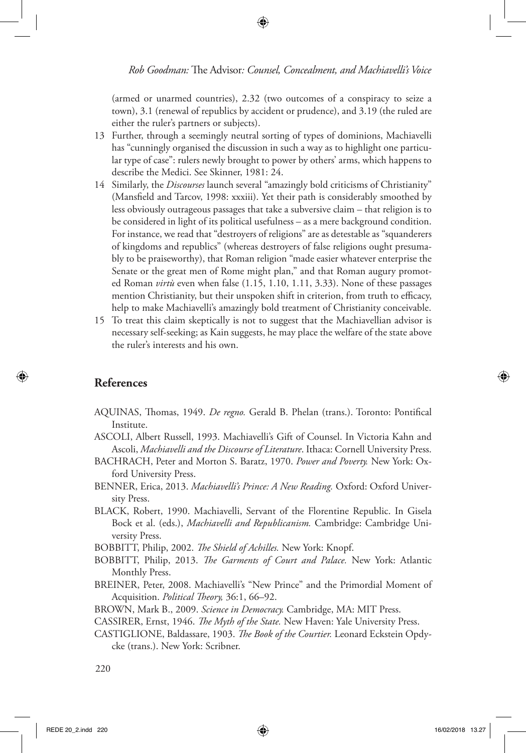(armed or unarmed countries), 2.32 (two outcomes of a conspiracy to seize a town), 3.1 (renewal of republics by accident or prudence), and 3.19 (the ruled are either the ruler's partners or subjects).

- 13 Further, through a seemingly neutral sorting of types of dominions, Machiavelli has "cunningly organised the discussion in such a way as to highlight one particular type of case": rulers newly brought to power by others' arms, which happens to describe the Medici. See Skinner, 1981: 24.
- 14 Similarly, the *Discourses* launch several "amazingly bold criticisms of Christianity" (Mansfield and Tarcov, 1998: xxxiii). Yet their path is considerably smoothed by less obviously outrageous passages that take a subversive claim – that religion is to be considered in light of its political usefulness – as a mere background condition. For instance, we read that "destroyers of religions" are as detestable as "squanderers of kingdoms and republics" (whereas destroyers of false religions ought presumably to be praiseworthy), that Roman religion "made easier whatever enterprise the Senate or the great men of Rome might plan," and that Roman augury promoted Roman *virtù* even when false (1.15, 1.10, 1.11, 3.33). None of these passages mention Christianity, but their unspoken shift in criterion, from truth to efficacy, help to make Machiavelli's amazingly bold treatment of Christianity conceivable.
- 15 To treat this claim skeptically is not to suggest that the Machiavellian advisor is necessary self-seeking; as Kain suggests, he may place the welfare of the state above the ruler's interests and his own.

## **References**

- AQUINAS, Thomas, 1949. *De regno.* Gerald B. Phelan (trans.). Toronto: Pontifical Institute.
- ASCOLI, Albert Russell, 1993. Machiavelli's Gift of Counsel. In Victoria Kahn and Ascoli, *Machiavelli and the Discourse of Literature*. Ithaca: Cornell University Press.
- BACHRACH, Peter and Morton S. Baratz, 1970. *Power and Poverty.* New York: Oxford University Press.
- BENNER, Erica, 2013. *Machiavelli's Prince: A New Reading.* Oxford: Oxford University Press.
- BLACK, Robert, 1990. Machiavelli, Servant of the Florentine Republic. In Gisela Bock et al. (eds.), *Machiavelli and Republicanism.* Cambridge: Cambridge University Press.
- BOBBITT, Philip, 2002. *The Shield of Achilles.* New York: Knopf.
- BOBBITT, Philip, 2013. *The Garments of Court and Palace.* New York: Atlantic Monthly Press.
- BREINER, Peter, 2008. Machiavelli's "New Prince" and the Primordial Moment of Acquisition. *Political Theory,* 36:1, 66–92.
- BROWN, Mark B., 2009. *Science in Democracy.* Cambridge, MA: MIT Press.
- CASSIRER, Ernst, 1946. *The Myth of the State.* New Haven: Yale University Press.
- CASTIGLIONE, Baldassare, 1903. *The Book of the Courtier.* Leonard Eckstein Opdycke (trans.). New York: Scribner.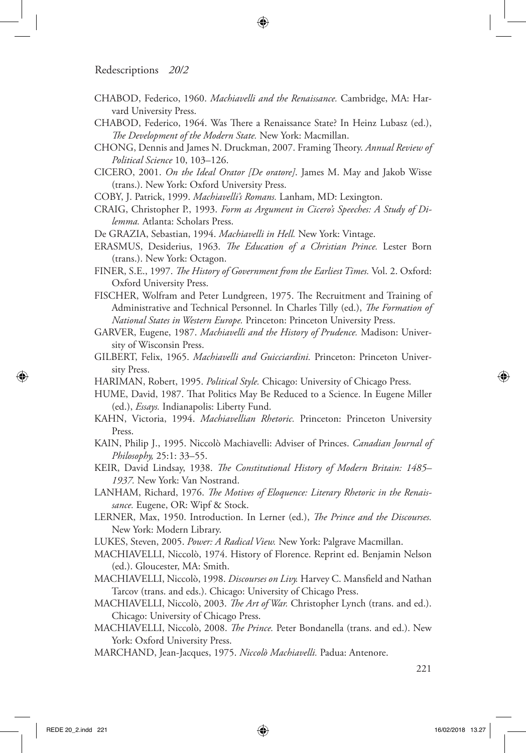- CHABOD, Federico, 1960. *Machiavelli and the Renaissance.* Cambridge, MA: Harvard University Press.
- CHABOD, Federico, 1964. Was There a Renaissance State? In Heinz Lubasz (ed.), *The Development of the Modern State.* New York: Macmillan.
- CHONG, Dennis and James N. Druckman, 2007. Framing Theory. *Annual Review of Political Science* 10, 103–126.
- CICERO, 2001. *On the Ideal Orator [De oratore]*. James M. May and Jakob Wisse (trans.). New York: Oxford University Press.
- COBY, J. Patrick, 1999. *Machiavelli's Romans.* Lanham, MD: Lexington.
- CRAIG, Christopher P., 1993. *Form as Argument in Cicero's Speeches: A Study of Dilemma.* Atlanta: Scholars Press.
- De GRAZIA, Sebastian, 1994. *Machiavelli in Hell.* New York: Vintage.
- ERASMUS, Desiderius, 1963. *The Education of a Christian Prince.* Lester Born (trans.). New York: Octagon.
- FINER, S.E., 1997. *The History of Government from the Earliest Times.* Vol. 2. Oxford: Oxford University Press.
- FISCHER, Wolfram and Peter Lundgreen, 1975. The Recruitment and Training of Administrative and Technical Personnel. In Charles Tilly (ed.), *The Formation of National States in Western Europe.* Princeton: Princeton University Press.
- GARVER, Eugene, 1987. *Machiavelli and the History of Prudence.* Madison: University of Wisconsin Press.
- GILBERT, Felix, 1965. *Machiavelli and Guicciardini.* Princeton: Princeton University Press.
- HARIMAN, Robert, 1995. *Political Style.* Chicago: University of Chicago Press.
- HUME, David, 1987. That Politics May Be Reduced to a Science. In Eugene Miller (ed.), *Essays.* Indianapolis: Liberty Fund.
- KAHN, Victoria, 1994. *Machiavellian Rhetoric.* Princeton: Princeton University Press.
- KAIN, Philip J., 1995. Niccolò Machiavelli: Adviser of Princes. *Canadian Journal of Philosophy,* 25:1: 33–55.
- KEIR, David Lindsay, 1938. *The Constitutional History of Modern Britain: 1485– 1937.* New York: Van Nostrand.
- LANHAM, Richard, 1976. *The Motives of Eloquence: Literary Rhetoric in the Renaissance.* Eugene, OR: Wipf & Stock.
- LERNER, Max, 1950. Introduction. In Lerner (ed.), *The Prince and the Discourses.*  New York: Modern Library.
- LUKES, Steven, 2005. *Power: A Radical View.* New York: Palgrave Macmillan.
- MACHIAVELLI, Niccolò, 1974. History of Florence. Reprint ed. Benjamin Nelson (ed.). Gloucester, MA: Smith.
- MACHIAVELLI, Niccolò, 1998. *Discourses on Livy.* Harvey C. Mansfield and Nathan Tarcov (trans. and eds.). Chicago: University of Chicago Press.
- MACHIAVELLI, Niccolò, 2003. *The Art of War.* Christopher Lynch (trans. and ed.). Chicago: University of Chicago Press.
- MACHIAVELLI, Niccolò, 2008. *The Prince.* Peter Bondanella (trans. and ed.). New York: Oxford University Press.
- MARCHAND, Jean-Jacques, 1975. *Niccolò Machiavelli.* Padua: Antenore.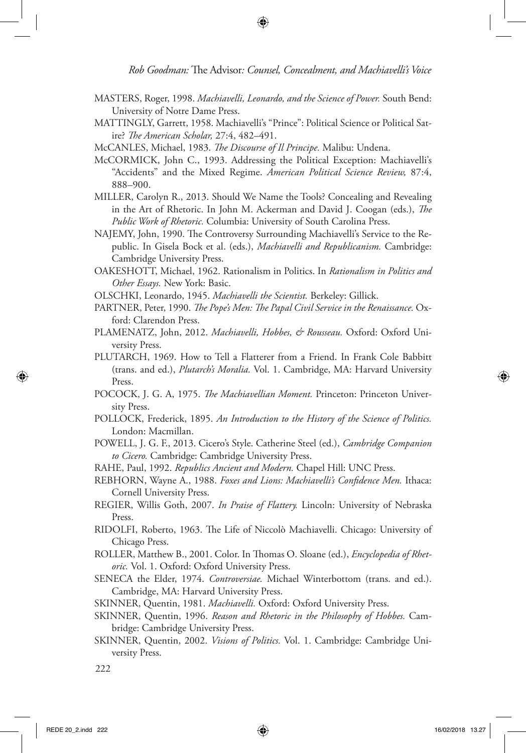- MASTERS, Roger, 1998. *Machiavelli, Leonardo, and the Science of Power.* South Bend: University of Notre Dame Press.
- MATTINGLY, Garrett, 1958. Machiavelli's "Prince": Political Science or Political Satire? *The American Scholar,* 27:4, 482–491.
- McCANLES, Michael, 1983. *The Discourse of Il Principe.* Malibu: Undena.
- McCORMICK, John C., 1993. Addressing the Political Exception: Machiavelli's "Accidents" and the Mixed Regime. *American Political Science Review,* 87:4, 888–900.
- MILLER, Carolyn R., 2013. Should We Name the Tools? Concealing and Revealing in the Art of Rhetoric. In John M. Ackerman and David J. Coogan (eds.), *The Public Work of Rhetoric.* Columbia: University of South Carolina Press.
- NAJEMY, John, 1990. The Controversy Surrounding Machiavelli's Service to the Republic. In Gisela Bock et al. (eds.), *Machiavelli and Republicanism.* Cambridge: Cambridge University Press.
- OAKESHOTT, Michael, 1962. Rationalism in Politics. In *Rationalism in Politics and Other Essays.* New York: Basic.
- OLSCHKI, Leonardo, 1945. *Machiavelli the Scientist.* Berkeley: Gillick.
- PARTNER, Peter, 1990. *The Pope's Men: The Papal Civil Service in the Renaissance.* Oxford: Clarendon Press.
- PLAMENATZ, John, 2012. *Machiavelli, Hobbes, & Rousseau.* Oxford: Oxford University Press.
- PLUTARCH, 1969. How to Tell a Flatterer from a Friend. In Frank Cole Babbitt (trans. and ed.), *Plutarch's Moralia.* Vol. 1. Cambridge, MA: Harvard University Press.
- POCOCK, J. G. A, 1975. *The Machiavellian Moment.* Princeton: Princeton University Press.
- POLLOCK, Frederick, 1895. *An Introduction to the History of the Science of Politics.* London: Macmillan.
- POWELL, J. G. F., 2013. Cicero's Style. Catherine Steel (ed.), *Cambridge Companion to Cicero.* Cambridge: Cambridge University Press.
- RAHE, Paul, 1992. *Republics Ancient and Modern.* Chapel Hill: UNC Press.
- REBHORN, Wayne A., 1988. *Foxes and Lions: Machiavelli's Confidence Men.* Ithaca: Cornell University Press.
- REGIER, Willis Goth, 2007. *In Praise of Flattery.* Lincoln: University of Nebraska Press.
- RIDOLFI, Roberto, 1963. The Life of Niccolò Machiavelli. Chicago: University of Chicago Press.
- ROLLER, Matthew B., 2001. Color. In Thomas O. Sloane (ed.), *Encyclopedia of Rhetoric.* Vol. 1. Oxford: Oxford University Press.
- SENECA the Elder, 1974. *Controversiae.* Michael Winterbottom (trans. and ed.). Cambridge, MA: Harvard University Press.
- SKINNER, Quentin, 1981. *Machiavelli.* Oxford: Oxford University Press.
- SKINNER, Quentin, 1996. *Reason and Rhetoric in the Philosophy of Hobbes.* Cambridge: Cambridge University Press.
- SKINNER, Quentin, 2002. *Visions of Politics.* Vol. 1. Cambridge: Cambridge University Press.